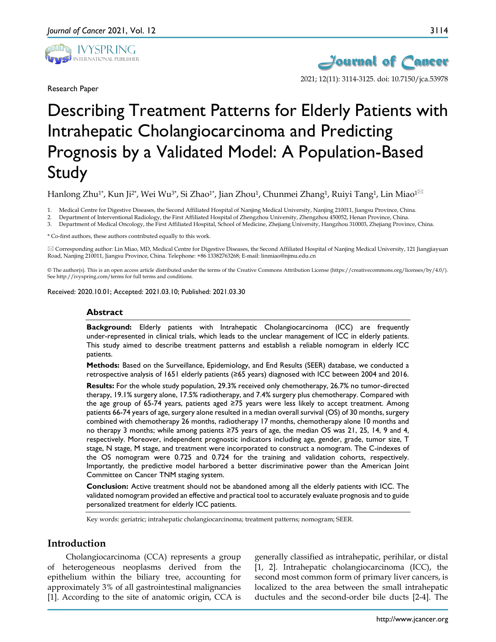

Research Paper



# Describing Treatment Patterns for Elderly Patients with Intrahepatic Cholangiocarcinoma and Predicting Prognosis by a Validated Model: A Population-Based Study

Hanlong Zhu<sup>1\*</sup>, Kun Ji<sup>2\*</sup>, Wei Wu<sup>3\*</sup>, Si Zhao<sup>1\*</sup>, Jian Zhou<sup>1</sup>, Chunmei Zhang<sup>1</sup>, Ruiyi Tang<sup>1</sup>, Lin Miao<sup>1 $\boxtimes$ </sup>

1. Medical Centre for Digestive Diseases, the Second Affiliated Hospital of Nanjing Medical University, Nanjing 210011, Jiangsu Province, China.

2. Department of Interventional Radiology, the First Affiliated Hospital of Zhengzhou University, Zhengzhou 450052, Henan Province, China.

3. Department of Medical Oncology, the First Affiliated Hospital, School of Medicine, Zhejiang University, Hangzhou 310003, Zhejiang Province, China.

\* Co-first authors, these authors contributed equally to this work.

 Corresponding author: Lin Miao, MD, Medical Centre for Digestive Diseases, the Second Affiliated Hospital of Nanjing Medical University, 121 Jiangjiayuan Road, Nanjing 210011, Jiangsu Province, China. Telephone: +86 13382763268; E-mail: linmiao@njmu.edu.cn

© The author(s). This is an open access article distributed under the terms of the Creative Commons Attribution License (https://creativecommons.org/licenses/by/4.0/). See http://ivyspring.com/terms for full terms and conditions.

Received: 2020.10.01; Accepted: 2021.03.10; Published: 2021.03.30

#### **Abstract**

**Background:** Elderly patients with Intrahepatic Cholangiocarcinoma (ICC) are frequently under-represented in clinical trials, which leads to the unclear management of ICC in elderly patients. This study aimed to describe treatment patterns and establish a reliable nomogram in elderly ICC patients.

**Methods:** Based on the Surveillance, Epidemiology, and End Results (SEER) database, we conducted a retrospective analysis of 1651 elderly patients (≥65 years) diagnosed with ICC between 2004 and 2016.

**Results:** For the whole study population, 29.3% received only chemotherapy, 26.7% no tumor-directed therapy, 19.1% surgery alone, 17.5% radiotherapy, and 7.4% surgery plus chemotherapy. Compared with the age group of 65-74 years, patients aged ≥75 years were less likely to accept treatment. Among patients 66-74 years of age, surgery alone resulted in a median overall survival (OS) of 30 months, surgery combined with chemotherapy 26 months, radiotherapy 17 months, chemotherapy alone 10 months and no therapy 3 months; while among patients ≥75 years of age, the median OS was 21, 25, 14, 9 and 4, respectively. Moreover, independent prognostic indicators including age, gender, grade, tumor size, T stage, N stage, M stage, and treatment were incorporated to construct a nomogram. The C-indexes of the OS nomogram were 0.725 and 0.724 for the training and validation cohorts, respectively. Importantly, the predictive model harbored a better discriminative power than the American Joint Committee on Cancer TNM staging system.

**Conclusion:** Active treatment should not be abandoned among all the elderly patients with ICC. The validated nomogram provided an effective and practical tool to accurately evaluate prognosis and to guide personalized treatment for elderly ICC patients.

Key words: geriatric; intrahepatic cholangiocarcinoma; treatment patterns; nomogram; SEER.

# **Introduction**

Cholangiocarcinoma (CCA) represents a group of heterogeneous neoplasms derived from the epithelium within the biliary tree, accounting for approximately 3% of all gastrointestinal malignancies [1]. According to the site of anatomic origin, CCA is

generally classified as intrahepatic, perihilar, or distal [1, 2]. Intrahepatic cholangiocarcinoma (ICC), the second most common form of primary liver cancers, is localized to the area between the small intrahepatic ductules and the second-order bile ducts [2-4]. The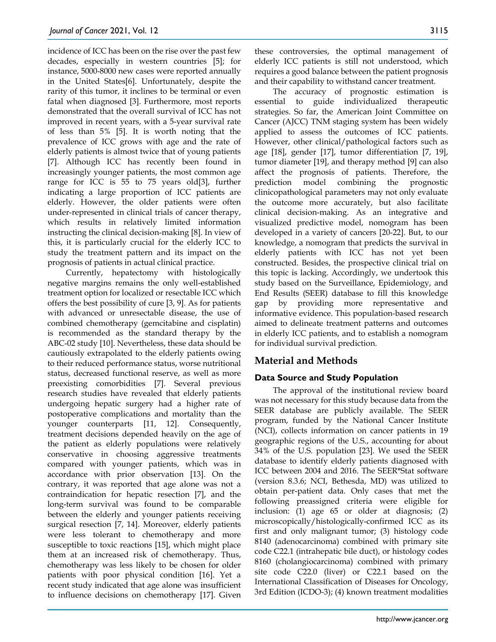incidence of ICC has been on the rise over the past few decades, especially in western countries [5]; for instance, 5000-8000 new cases were reported annually in the United States[6]. Unfortunately, despite the rarity of this tumor, it inclines to be terminal or even fatal when diagnosed [3]. Furthermore, most reports demonstrated that the overall survival of ICC has not improved in recent years, with a 5-year survival rate of less than 5% [5]. It is worth noting that the prevalence of ICC grows with age and the rate of elderly patients is almost twice that of young patients [7]. Although ICC has recently been found in increasingly younger patients, the most common age range for ICC is 55 to 75 years old[3], further indicating a large proportion of ICC patients are elderly. However, the older patients were often under-represented in clinical trials of cancer therapy, which results in relatively limited information instructing the clinical decision-making [8]. In view of this, it is particularly crucial for the elderly ICC to study the treatment pattern and its impact on the prognosis of patients in actual clinical practice.

Currently, hepatectomy with histologically negative margins remains the only well-established treatment option for localized or resectable ICC which offers the best possibility of cure [3, 9]. As for patients with advanced or unresectable disease, the use of combined chemotherapy (gemcitabine and cisplatin) is recommended as the standard therapy by the ABC-02 study [10]. Nevertheless, these data should be cautiously extrapolated to the elderly patients owing to their reduced performance status, worse nutritional status, decreased functional reserve, as well as more preexisting comorbidities [7]. Several previous research studies have revealed that elderly patients undergoing hepatic surgery had a higher rate of postoperative complications and mortality than the younger counterparts [11, 12]. Consequently, treatment decisions depended heavily on the age of the patient as elderly populations were relatively conservative in choosing aggressive treatments compared with younger patients, which was in accordance with prior observation [13]. On the contrary, it was reported that age alone was not a contraindication for hepatic resection [7], and the long-term survival was found to be comparable between the elderly and younger patients receiving surgical resection [7, 14]. Moreover, elderly patients were less tolerant to chemotherapy and more susceptible to toxic reactions [15], which might place them at an increased risk of chemotherapy. Thus, chemotherapy was less likely to be chosen for older patients with poor physical condition [16]. Yet a recent study indicated that age alone was insufficient to influence decisions on chemotherapy [17]. Given

these controversies, the optimal management of elderly ICC patients is still not understood, which requires a good balance between the patient prognosis and their capability to withstand cancer treatment.

The accuracy of prognostic estimation is essential to guide individualized therapeutic strategies. So far, the American Joint Committee on Cancer (AJCC) TNM staging system has been widely applied to assess the outcomes of ICC patients. However, other clinical/pathological factors such as age [18], gender [17], tumor differentiation [7, 19], tumor diameter [19], and therapy method [9] can also affect the prognosis of patients. Therefore, the prediction model combining the prognostic clinicopathological parameters may not only evaluate the outcome more accurately, but also facilitate clinical decision-making. As an integrative and visualized predictive model, nomogram has been developed in a variety of cancers [20-22]. But, to our knowledge, a nomogram that predicts the survival in elderly patients with ICC has not yet been constructed. Besides, the prospective clinical trial on this topic is lacking. Accordingly, we undertook this study based on the Surveillance, Epidemiology, and End Results (SEER) database to fill this knowledge gap by providing more representative and informative evidence. This population-based research aimed to delineate treatment patterns and outcomes in elderly ICC patients, and to establish a nomogram for individual survival prediction.

# **Material and Methods**

# **Data Source and Study Population**

The approval of the institutional review board was not necessary for this study because data from the SEER database are publicly available. The SEER program, funded by the National Cancer Institute (NCI), collects information on cancer patients in 19 geographic regions of the U.S., accounting for about 34% of the U.S. population [23]. We used the SEER database to identify elderly patients diagnosed with ICC between 2004 and 2016. The SEER\*Stat software (version 8.3.6; NCI, Bethesda, MD) was utilized to obtain per-patient data. Only cases that met the following preassigned criteria were eligible for inclusion: (1) age 65 or older at diagnosis; (2) microscopically/histologically-confirmed ICC as its first and only malignant tumor; (3) histology code 8140 (adenocarcinoma) combined with primary site code C22.1 (intrahepatic bile duct), or histology codes 8160 (cholangiocarcinoma) combined with primary site code C22.0 (liver) or C22.1 based on the International Classification of Diseases for Oncology, 3rd Edition (ICDO-3); (4) known treatment modalities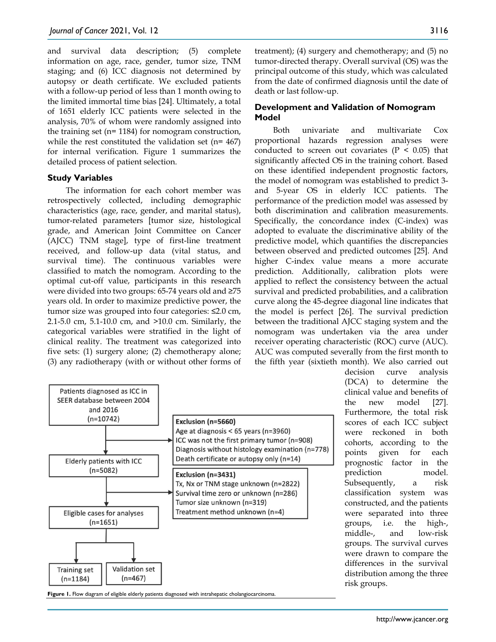and survival data description; (5) complete information on age, race, gender, tumor size, TNM staging; and (6) ICC diagnosis not determined by autopsy or death certificate. We excluded patients with a follow-up period of less than 1 month owing to the limited immortal time bias [24]. Ultimately, a total of 1651 elderly ICC patients were selected in the analysis, 70% of whom were randomly assigned into the training set (n= 1184) for nomogram construction, while the rest constituted the validation set (n= 467) for internal verification. Figure 1 summarizes the detailed process of patient selection.

#### **Study Variables**

The information for each cohort member was retrospectively collected, including demographic characteristics (age, race, gender, and marital status), tumor-related parameters [tumor size, histological grade, and American Joint Committee on Cancer (AJCC) TNM stage], type of first-line treatment received, and follow-up data (vital status, and survival time). The continuous variables were classified to match the nomogram. According to the optimal cut-off value, participants in this research were divided into two groups: 65‐74 years old and ≥75 years old. In order to maximize predictive power, the tumor size was grouped into four categories: ≤2.0 cm, 2.1-5.0 cm, 5.1-10.0 cm, and >10.0 cm. Similarly, the categorical variables were stratified in the light of clinical reality. The treatment was categorized into five sets: (1) surgery alone; (2) chemotherapy alone; (3) any radiotherapy (with or without other forms of



Figure 1. Flow diagram of eligible elderly patients diagnosed with intrahepatic cholangiocarcinoma

treatment); (4) surgery and chemotherapy; and (5) no tumor-directed therapy. Overall survival (OS) was the principal outcome of this study, which was calculated from the date of confirmed diagnosis until the date of death or last follow-up.

# **Development and Validation of Nomogram Model**

Both univariate and multivariate Cox proportional hazards regression analyses were conducted to screen out covariates ( $P < 0.05$ ) that significantly affected OS in the training cohort. Based on these identified independent prognostic factors, the model of nomogram was established to predict 3 and 5-year OS in elderly ICC patients. The performance of the prediction model was assessed by both discrimination and calibration measurements. Specifically, the concordance index (C-index) was adopted to evaluate the discriminative ability of the predictive model, which quantifies the discrepancies between observed and predicted outcomes [25]. And higher C-index value means a more accurate prediction. Additionally, calibration plots were applied to reflect the consistency between the actual survival and predicted probabilities, and a calibration curve along the 45‐degree diagonal line indicates that the model is perfect [26]. The survival prediction between the traditional AJCC staging system and the nomogram was undertaken via the area under receiver operating characteristic (ROC) curve (AUC). AUC was computed severally from the first month to the fifth year (sixtieth month). We also carried out

decision curve analysis (DCA) to determine the clinical value and benefits of the new model [27]. Furthermore, the total risk scores of each ICC subject were reckoned in both cohorts, according to the points given for each prognostic factor in the prediction model. Subsequently, a risk classification system was constructed, and the patients were separated into three groups, i.e. the high-, middle-, and low-risk groups. The survival curves were drawn to compare the differences in the survival distribution among the three risk groups.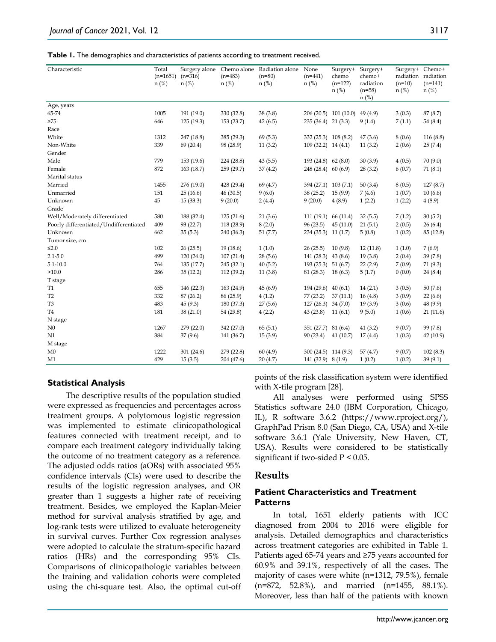**Table 1.** The demographics and characteristics of patients according to treatment received.

| Characteristic                         | Total<br>$(n=1651)$<br>$n$ (%) | $(n=316)$<br>$n$ (%) | $(n=483)$<br>$n$ (%) | Surgery alone Chemo alone Radiation alone<br>$(n=80)$<br>$n$ (%) | None<br>$(n=441)$<br>$n$ (%) | Surgery+<br>chemo<br>$(n=122)$<br>$n$ (%) | Surgery+<br>chemo+<br>radiation<br>$(n=58)$<br>$n$ (%) | Surgery+ Chemo+<br>$(n=10)$<br>$n$ (%) | radiation radiation<br>$(n=141)$<br>$n$ (%) |
|----------------------------------------|--------------------------------|----------------------|----------------------|------------------------------------------------------------------|------------------------------|-------------------------------------------|--------------------------------------------------------|----------------------------------------|---------------------------------------------|
| Age, years                             |                                |                      |                      |                                                                  |                              |                                           |                                                        |                                        |                                             |
| 65-74                                  | 1005                           | 191 (19.0)           | 330 (32.8)           | 38 (3.8)                                                         |                              | 206 (20.5) 101 (10.0)                     | 49 (4.9)                                               | 3(0.3)                                 | 87 (8.7)                                    |
| $\geq$ 75                              | 646                            | 125 (19.3)           | 153(23.7)            | 42(6.5)                                                          | $235(36.4)$ 21 (3.3)         |                                           | 9(1.4)                                                 | 7(1.1)                                 | 54 (8.4)                                    |
| Race                                   |                                |                      |                      |                                                                  |                              |                                           |                                                        |                                        |                                             |
| White                                  | 1312                           | 247 (18.8)           | 385 (29.3)           | 69(5.3)                                                          | 332 (25.3) 108 (8.2)         |                                           | 47(3.6)                                                | 8(0.6)                                 | 116(8.8)                                    |
| Non-White                              | 339                            | 69(20.4)             | 98 (28.9)            | 11(3.2)                                                          | $109(32.2)$ 14 (4.1)         |                                           | 11(3.2)                                                | 2(0.6)                                 | 25(7.4)                                     |
| Gender                                 |                                |                      |                      |                                                                  |                              |                                           |                                                        |                                        |                                             |
| Male                                   | 779                            | 153(19.6)            | 224 (28.8)           | 43(5.5)                                                          | 193 (24.8) 62 (8.0)          |                                           | 30(3.9)                                                | 4(0.5)                                 | 70(9.0)                                     |
| Female                                 | 872                            | 163 (18.7)           | 259 (29.7)           | 37(4.2)                                                          | 248 (28.4) 60 (6.9)          |                                           | 28(3.2)                                                | 6(0.7)                                 | 71(8.1)                                     |
| Marital status                         |                                |                      |                      |                                                                  |                              |                                           |                                                        |                                        |                                             |
| Married                                | 1455                           | 276 (19.0)           | 428 (29.4)           | 69 (4.7)                                                         | 394 (27.1) 103 (7.1)         |                                           | 50(3.4)                                                | 8(0.5)                                 | 127(8.7)                                    |
| Unmarried                              | 151                            | 25(16.6)             | 46(30.5)             | 9(6.0)                                                           | 38(25.2)                     | 15(9.9)                                   | 7(4.6)                                                 | 1(0.7)                                 | 10(6.6)                                     |
| Unknown                                | 45                             | 15(33.3)             | 9(20.0)              | 2(4.4)                                                           | 9(20.0)                      | 4(8.9)                                    | 1(2.2)                                                 | 1(2.2)                                 | 4(8.9)                                      |
| Grade                                  |                                |                      |                      |                                                                  |                              |                                           |                                                        |                                        |                                             |
| Well/Moderately differentiated         | 580                            | 188 (32.4)           | 125(21.6)            | 21(3.6)                                                          | 111(19.1)                    | 66 (11.4)                                 | 32(5.5)                                                | 7(1.2)                                 | 30(5.2)                                     |
| Poorly differentiated/Undifferentiated | 409                            | 93 (22.7)            | 118 (28.9)           | 8(2.0)                                                           | 96(23.5)                     | 45(11.0)                                  | 21(5.1)                                                | 2(0.5)                                 | 26(6.4)                                     |
| Unknown                                | 662                            | 35(5.3)              | 240 (36.3)           | 51(7.7)                                                          | 234 (35.3) 11 (1.7)          |                                           | 5(0.8)                                                 | 1(0.2)                                 | 85 (12.8)                                   |
| Tumor size, cm                         |                                |                      |                      |                                                                  |                              |                                           |                                                        |                                        |                                             |
| $\leq 2.0$                             | 102                            | 26(25.5)             | 19(18.6)             | 1(1.0)                                                           | 26(25.5)                     | 10(9.8)                                   | 12(11.8)                                               | 1(1.0)                                 | 7(6.9)                                      |
| $2.1 - 5.0$                            | 499                            | 120(24.0)            | 107(21.4)            | 28(5.6)                                                          | 141(28.3)                    | 43(8.6)                                   | 19(3.8)                                                | 2(0.4)                                 | 39(7.8)                                     |
| $5.1 - 10.0$                           | 764                            | 135(17.7)            | 245 (32.1)           | 40(5.2)                                                          | 193(25.3)                    | 51(6.7)                                   | 22(2.9)                                                | 7(0.9)                                 | 71 (9.3)                                    |
| >10.0                                  | 286                            | 35(12.2)             | 112(39.2)            | 11(3.8)                                                          | 81 (28.3)                    | 18(6.3)                                   | 5(1.7)                                                 | 0(0.0)                                 | 24(8.4)                                     |
| T stage                                |                                |                      |                      |                                                                  |                              |                                           |                                                        |                                        |                                             |
| <b>T1</b>                              | 655                            | 146 (22.3)           | 163 (24.9)           | 45(6.9)                                                          | 194 (29.6) 40 (6.1)          |                                           | 14(2.1)                                                | 3(0.5)                                 | 50(7.6)                                     |
| T <sub>2</sub>                         | 332                            | 87(26.2)             | 86 (25.9)            | 4(1.2)                                                           | 77(23.2)                     | 37(11.1)                                  | 16(4.8)                                                | 3(0.9)                                 | 22(6.6)                                     |
| T <sub>3</sub>                         | 483                            | 45(9.3)              | 180 (37.3)           | 27(5.6)                                                          | 127 (26.3) 34 (7.0)          |                                           | 19(3.9)                                                | 3(0.6)                                 | 48 (9.9)                                    |
| T <sub>4</sub>                         | 181                            | 38(21.0)             | 54 (29.8)            | 4(2.2)                                                           | 43 (23.8)                    | 11(6.1)                                   | 9(5.0)                                                 | 1(0.6)                                 | 21(11.6)                                    |
| N stage                                |                                |                      |                      |                                                                  |                              |                                           |                                                        |                                        |                                             |
| N <sub>0</sub>                         | 1267                           | 279(22.0)            | 342 (27.0)           | 65(5.1)                                                          | 351(27.7)                    | 81(6.4)                                   | 41(3.2)                                                | 9(0.7)                                 | 99 (7.8)                                    |
| N1                                     | 384                            | 37(9.6)              | 141 (36.7)           | 15(3.9)                                                          | 90(23.4)                     | 41(10.7)                                  | 17(4.4)                                                | 1(0.3)                                 | 42(10.9)                                    |
| M stage                                |                                |                      |                      |                                                                  |                              |                                           |                                                        |                                        |                                             |
| M <sub>0</sub>                         | 1222                           | 301(24.6)            | 279 (22.8)           | 60 (4.9)                                                         | 300 (24.5) 114 (9.3)         |                                           | 57(4.7)                                                | 9(0.7)                                 | 102(8.3)                                    |
| M1                                     | 429                            | 15(3.5)              | 204 (47.6)           | 20(4.7)                                                          | 141 (32.9) 8 (1.9)           |                                           | 1(0.2)                                                 | 1(0.2)                                 | 39(9.1)                                     |

#### **Statistical Analysis**

The descriptive results of the population studied were expressed as frequencies and percentages across treatment groups. A polytomous logistic regression was implemented to estimate clinicopathological features connected with treatment receipt, and to compare each treatment category individually taking the outcome of no treatment category as a reference. The adjusted odds ratios (aORs) with associated 95% confidence intervals (CIs) were used to describe the results of the logistic regression analyses, and OR greater than 1 suggests a higher rate of receiving treatment. Besides, we employed the Kaplan-Meier method for survival analysis stratified by age, and log-rank tests were utilized to evaluate heterogeneity in survival curves. Further Cox regression analyses were adopted to calculate the stratum-specific hazard ratios (HRs) and the corresponding 95% CIs. Comparisons of clinicopathologic variables between the training and validation cohorts were completed using the chi-square test. Also, the optimal cut-off points of the risk classification system were identified with X-tile program [28].

All analyses were performed using SPSS Statistics software 24.0 (IBM Corporation, Chicago, IL), R software 3.6.2 (https://www.rproject.org/), GraphPad Prism 8.0 (San Diego, CA, USA) and X-tile software 3.6.1 (Yale University, New Haven, CT, USA). Results were considered to be statistically significant if two-sided P < 0.05.

# **Results**

# **Patient Characteristics and Treatment Patterns**

In total, 1651 elderly patients with ICC diagnosed from 2004 to 2016 were eligible for analysis. Detailed demographics and characteristics across treatment categories are exhibited in Table 1. Patients aged 65-74 years and ≥75 years accounted for 60.9% and 39.1%, respectively of all the cases. The majority of cases were white (n=1312, 79.5%), female (n=872, 52.8%), and married (n=1455, 88.1%). Moreover, less than half of the patients with known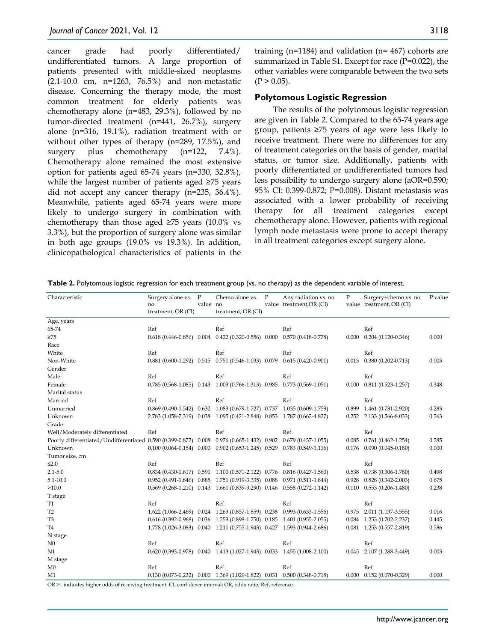cancer grade had poorly differentiated/ undifferentiated tumors. A large proportion of patients presented with middle-sized neoplasms (2.1-10.0 cm, n=1263, 76.5%) and non-metastatic disease. Concerning the therapy mode, the most common treatment for elderly patients was chemotherapy alone (n=483, 29.3%), followed by no tumor-directed treatment (n=441, 26.7%), surgery alone (n=316, 19.1%), radiation treatment with or without other types of therapy (n=289, 17.5%), and surgery plus chemotherapy (n=122, 7.4%). Chemotherapy alone remained the most extensive option for patients aged 65-74 years (n=330, 32.8%), while the largest number of patients aged ≥75 years did not accept any cancer therapy (n=235, 36.4%). Meanwhile, patients aged 65-74 years were more likely to undergo surgery in combination with chemotherapy than those aged  $\geq 75$  years (10.0% vs 3.3%), but the proportion of surgery alone was similar in both age groups (19.0% vs 19.3%). In addition, clinicopathological characteristics of patients in the

training (n=1184) and validation (n= 467) cohorts are summarized in Table S1. Except for race (P=0.022), the other variables were comparable between the two sets  $(P > 0.05)$ .

#### **Polytomous Logistic Regression**

The results of the polytomous logistic regression are given in Table 2. Compared to the 65-74 years age group, patients ≥75 years of age were less likely to receive treatment. There were no differences for any of treatment categories on the basis of gender, marital status, or tumor size. Additionally, patients with poorly differentiated or undifferentiated tumors had less possibility to undergo surgery alone (aOR=0.590; 95% CI: 0.399-0.872; P=0.008). Distant metastasis was associated with a lower probability of receiving therapy for all treatment categories except chemotherapy alone. However, patients with regional lymph node metastasis were prone to accept therapy in all treatment categories except surgery alone.

| Characteristic                                                                                                 | Surgery alone vs. P<br>no<br>treatment, OR (CI) | value no | Chemo alone vs.<br>treatment, OR (CI)                                           | $\mathbf{P}$ | Any radiation vs. no<br>value treatment, OR (CI) | $\mathbf{P}$ | Surgery+chemo vs. no<br>value treatment, OR (CI) | P value |
|----------------------------------------------------------------------------------------------------------------|-------------------------------------------------|----------|---------------------------------------------------------------------------------|--------------|--------------------------------------------------|--------------|--------------------------------------------------|---------|
| Age, years                                                                                                     |                                                 |          |                                                                                 |              |                                                  |              |                                                  |         |
| 65-74                                                                                                          | Ref                                             |          | Ref                                                                             |              | Ref                                              |              | Ref                                              |         |
| $\geq 75$                                                                                                      |                                                 |          | 0.618 (0.446-0.856) 0.004 0.422 (0.320-0.556) 0.000 0.570 (0.418-0.778)         |              |                                                  |              | $0.000$ $0.204$ $(0.120 - 0.346)$                | 0.000   |
| Race                                                                                                           |                                                 |          |                                                                                 |              |                                                  |              |                                                  |         |
| White                                                                                                          | Ref                                             |          | Ref                                                                             |              | Ref                                              |              | Ref                                              |         |
| Non-White                                                                                                      |                                                 |          | $0.881$ $(0.600-1.292)$ $0.515$ $0.751$ $(0.546-1.033)$ $0.079$                 |              | $0.615(0.420-0.901)$                             |              | $0.013$ $0.380$ $(0.202 - 0.713)$                | 0.003   |
| Gender                                                                                                         |                                                 |          |                                                                                 |              |                                                  |              |                                                  |         |
| Male                                                                                                           | Ref                                             |          | Ref                                                                             |              | Ref                                              |              | Ref                                              |         |
| Female                                                                                                         |                                                 |          | 0.785 (0.568-1.085) 0.143 1.003 (0.766-1.313) 0.985 0.773 (0.569-1.051)         |              |                                                  | 0.100        | $0.811(0.523 - 1.257)$                           | 0.348   |
| Marital status                                                                                                 |                                                 |          |                                                                                 |              |                                                  |              |                                                  |         |
| Married                                                                                                        | Ref                                             |          | Ref                                                                             |              | Ref                                              |              | Ref                                              |         |
| Unmarried                                                                                                      |                                                 |          | 0.869 (0.490-1.542) 0.632 1.083 (0.679-1.727) 0.737 1.035 (0.609-1.759)         |              |                                                  | 0.899        | 1.461 (0.731-2.920)                              | 0.283   |
| Unknown                                                                                                        |                                                 |          | 2.783 (1.058-7.319) 0.038 1.095 (0.421-2.848) 0.853 1.787 (0.662-4.827)         |              |                                                  |              | $0.252$ 2.133 $(0.566 - 8.033)$                  | 0.263   |
| Grade                                                                                                          |                                                 |          |                                                                                 |              |                                                  |              |                                                  |         |
| Well/Moderately differentiated                                                                                 | Ref                                             |          | Ref                                                                             |              | Ref                                              |              | Ref                                              |         |
| Poorly differentiated/Undifferentiated 0.590 (0.399-0.872) 0.008 0.976 (0.665-1.432) 0.902 0.679 (0.437-1.055) |                                                 |          |                                                                                 |              |                                                  | 0.085        | $0.761(0.462 - 1.254)$                           | 0.285   |
| Unknown                                                                                                        |                                                 |          | $0.100 (0.064 - 0.154) 0.000 0.902 (0.653 - 1.245) 0.529 0.783 (0.549 - 1.116)$ |              |                                                  |              | $0.176$ $0.090$ $(0.045 - 0.180)$                | 0.000   |
| Tumor size, cm                                                                                                 |                                                 |          |                                                                                 |              |                                                  |              |                                                  |         |
| $\leq 2.0$                                                                                                     | Ref                                             |          | Ref                                                                             |              | Ref                                              |              | Ref                                              |         |
| $2.1 - 5.0$                                                                                                    |                                                 |          | 0.834 (0.430-1.617) 0.591 1.100 (0.571-2.122) 0.776 0.816 (0.427-1.560)         |              |                                                  | 0.538        | 0.738 (0.306-1.780)                              | 0.498   |
| $5.1 - 10.0$                                                                                                   |                                                 |          | 0.952 (0.491-1.846) 0.885 1.751 (0.919-3.335) 0.088 0.971 (0.511-1.844)         |              |                                                  | 0.928        | $0.828(0.342 - 2.003)$                           | 0.675   |
| >10.0                                                                                                          |                                                 |          | 0.569 (0.268-1.210) 0.143 1.661 (0.839-3.290) 0.146 0.558 (0.272-1.142)         |              |                                                  |              | $0.110$ $0.553$ $(0.206 - 1.480)$                | 0.238   |
| T stage                                                                                                        |                                                 |          |                                                                                 |              |                                                  |              |                                                  |         |
| <b>T1</b>                                                                                                      | Ref                                             |          | Ref                                                                             |              | Ref                                              |              | Ref                                              |         |
| T <sub>2</sub>                                                                                                 |                                                 |          | 1.622 (1.066-2.469) 0.024 1.263 (0.857-1.859) 0.238 0.993 (0.633-1.556)         |              |                                                  |              | $0.975$ 2.011 (1.137-3.555)                      | 0.016   |
| T <sub>3</sub>                                                                                                 |                                                 |          | 0.616 (0.392-0.968) 0.036 1.253 (0.898-1.750) 0.185 1.401 (0.955-2.055)         |              |                                                  |              | $0.084$ 1.253 (0.702-2.237)                      | 0.445   |
| T <sub>4</sub>                                                                                                 |                                                 |          | 1.778 (1.026-3.083) 0.040 1.211 (0.755-1.943) 0.427 1.593 (0.944-2.686)         |              |                                                  |              | $0.081$ 1.253 (0.557-2.819)                      | 0.586   |
| N stage                                                                                                        |                                                 |          |                                                                                 |              |                                                  |              |                                                  |         |
| N <sub>0</sub>                                                                                                 | Ref                                             |          | Ref                                                                             |              | Ref                                              |              | Ref                                              |         |
| N1                                                                                                             |                                                 |          | 0.620 (0.393-0.978) 0.040 1.413 (1.027-1.943) 0.033 1.455 (1.008-2.100)         |              |                                                  | 0.045        | 2.107 (1.288-3.449)                              | 0.003   |
| M stage                                                                                                        |                                                 |          |                                                                                 |              |                                                  |              |                                                  |         |
| M <sub>0</sub>                                                                                                 | Ref                                             |          | Ref                                                                             |              | Ref                                              |              | Ref                                              |         |
| M1                                                                                                             |                                                 |          | 0.130 (0.073-0.232) 0.000 1.369 (1.029-1.822) 0.031 0.500 (0.348-0.718)         |              |                                                  |              | $0.000$ $0.152$ (0.070-0.329)                    | 0.000   |

**Table 2.** Polytomous logistic regression for each treatment group (vs. no therapy) as the dependent variable of interest.

OR >1 indicates higher odds of receiving treatment. CI, confidence interval; OR, odds ratio; Ref, reference.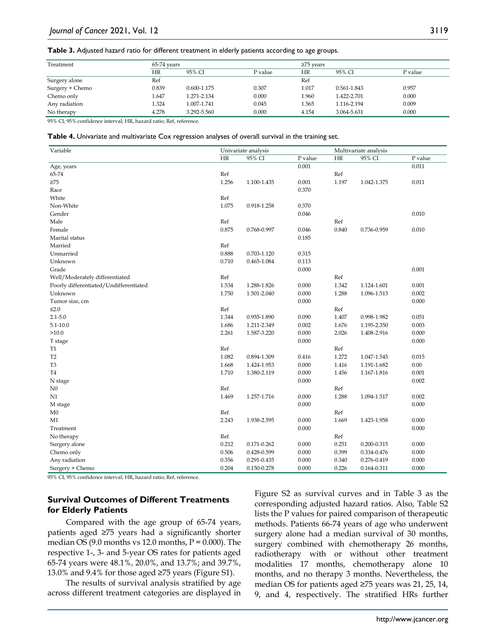**Table 3.** Adjusted hazard ratio for different treatment in elderly patients according to age groups.

| Treatment       | 65-74 years |             |         | $\geq$ 75 vears |             |         |  |
|-----------------|-------------|-------------|---------|-----------------|-------------|---------|--|
|                 | ΗR          | 95% CI      | P value | HR              | 95% CI      | P value |  |
| Surgery alone   | Ref         |             |         | Ref             |             |         |  |
| Surgery + Chemo | 0.839       | 0.600-1.175 | 0.307   | 1.017           | 0.561-1.843 | 0.957   |  |
| Chemo only      | 1.647       | 1.271-2.134 | 0.000   | 1.960           | 1.422-2.701 | 0.000   |  |
| Any radiation   | 1.324       | 1.007-1.741 | 0.045   | 1.565           | 1.116-2.194 | 0.009   |  |
| No therapy      | 4.278       | 3.292-5.560 | 0.000   | 4.154           | 3.064-5.631 | 0.000   |  |

95% CI, 95% confidence interval; HR, hazard ratio; Ref, reference.

|  |  | Table 4. Univariate and multivariate Cox regression analyses of overall survival in the training set. |
|--|--|-------------------------------------------------------------------------------------------------------|
|--|--|-------------------------------------------------------------------------------------------------------|

| Variable                               | Univariate analysis |             |         | Multivariate analysis |             |         |
|----------------------------------------|---------------------|-------------|---------|-----------------------|-------------|---------|
|                                        | HR                  | 95% CI      | P value | HR                    | 95% CI      | P value |
| Age, years                             |                     |             | 0.001   |                       |             | 0.011   |
| 65-74                                  | Ref                 |             |         | Ref                   |             |         |
| $\geq 75$                              | 1.256               | 1.100-1.435 | 0.001   | 1.197                 | 1.042-1.375 | 0.011   |
| Race                                   |                     |             | 0.370   |                       |             |         |
| White                                  | Ref                 |             |         |                       |             |         |
| Non-White                              | 1.075               | 0.918-1.258 | 0.370   |                       |             |         |
| Gender                                 |                     |             | 0.046   |                       |             | 0.010   |
| Male                                   | Ref                 |             |         | Ref                   |             |         |
| Female                                 | 0.875               | 0.768-0.997 | 0.046   | 0.840                 | 0.736-0.959 | 0.010   |
| Marital status                         |                     |             | 0.185   |                       |             |         |
| Married                                | Ref                 |             |         |                       |             |         |
| Unmarried                              | 0.888               | 0.703-1.120 | 0.315   |                       |             |         |
| Unknown                                | 0.710               | 0.465-1.084 | 0.113   |                       |             |         |
| Grade                                  |                     |             | 0.000   |                       |             | 0.001   |
| Well/Moderately differentiated         | Ref                 |             |         | Ref                   |             |         |
| Poorly differentiated/Undifferentiated | 1.534               | 1.288-1.826 | 0.000   | 1.342                 | 1.124-1.601 | 0.001   |
| Unknown                                | 1.750               | 1.501-2.040 | 0.000   | 1.288                 | 1.096-1.513 | 0.002   |
| Tumor size, cm                         |                     |             | 0.000   |                       |             | 0.000   |
| $\leq 2.0$                             | Ref                 |             |         | Ref                   |             |         |
| $2.1 - 5.0$                            | 1.344               | 0.955-1.890 | 0.090   | 1.407                 | 0.998-1.982 | 0.051   |
| $5.1 - 10.0$                           | 1.686               | 1.211-2.349 | 0.002   | 1.676                 | 1.195-2.350 | 0.003   |
| >10.0                                  | 2.261               | 1.587-3.220 | 0.000   | 2.026                 | 1.408-2.916 | 0.000   |
| T stage                                |                     |             | 0.000   |                       |             | 0.000   |
| <b>T1</b>                              | Ref                 |             |         | Ref                   |             |         |
| T <sub>2</sub>                         | 1.082               | 0.894-1.309 | 0.416   | 1.272                 | 1.047-1.545 | 0.015   |
| T <sub>3</sub>                         | 1.668               | 1.424-1.953 | 0.000   | 1.416                 | 1.191-1.682 | 0.00    |
| T <sub>4</sub>                         | 1.710               | 1.380-2.119 | 0.000   | 1.456                 | 1.167-1.816 | 0.001   |
| N stage                                |                     |             | 0.000   |                       |             | 0.002   |
| $_{\rm N0}$                            | Ref                 |             |         | Ref                   |             |         |
| N1                                     | 1.469               | 1.257-1.716 | 0.000   | 1.288                 | 1.094-1.517 | 0.002   |
| M stage                                |                     |             | 0.000   |                       |             | 0.000   |
| M <sub>0</sub>                         | Ref                 |             |         | Ref                   |             |         |
| M1                                     | 2.243               | 1.938-2.595 | 0.000   | 1.669                 | 1.423-1.958 | 0.000   |
| Treatment                              |                     |             | 0.000   |                       |             | 0.000   |
| No therapy                             | Ref                 |             |         | Ref                   |             |         |
| Surgery alone                          | 0.212               | 0.171-0.262 | 0.000   | 0.251                 | 0.200-0.315 | 0.000   |
| Chemo only                             | 0.506               | 0.428-0.599 | 0.000   | 0.399                 | 0.334-0.476 | 0.000   |
| Any radiation                          | 0.356               | 0.291-0.435 | 0.000   | 0.340                 | 0.276-0.419 | 0.000   |
| Surgery + Chemo                        | 0.204               | 0.150-0.278 | 0.000   | 0.226                 | 0.164-0.311 | 0.000   |

95% CI, 95% confidence interval; HR, hazard ratio; Ref, reference.

# **Survival Outcomes of Different Treatments for Elderly Patients**

Compared with the age group of 65‐74 years, patients aged ≥75 years had a significantly shorter median OS  $(9.0 \text{ months vs } 12.0 \text{ months}, P = 0.000)$ . The respective 1-, 3- and 5-year OS rates for patients aged 65-74 years were 48.1%, 20.0%, and 13.7%; and 39.7%, 13.0% and 9.4% for those aged ≥75 years (Figure S1).

The results of survival analysis stratified by age across different treatment categories are displayed in Figure S2 as survival curves and in Table 3 as the corresponding adjusted hazard ratios. Also, Table S2 lists the P values for paired comparison of therapeutic methods. Patients 66-74 years of age who underwent surgery alone had a median survival of 30 months, surgery combined with chemotherapy 26 months, radiotherapy with or without other treatment modalities 17 months, chemotherapy alone 10 months, and no therapy 3 months. Nevertheless, the median OS for patients aged ≥75 years was 21, 25, 14, 9, and 4, respectively. The stratified HRs further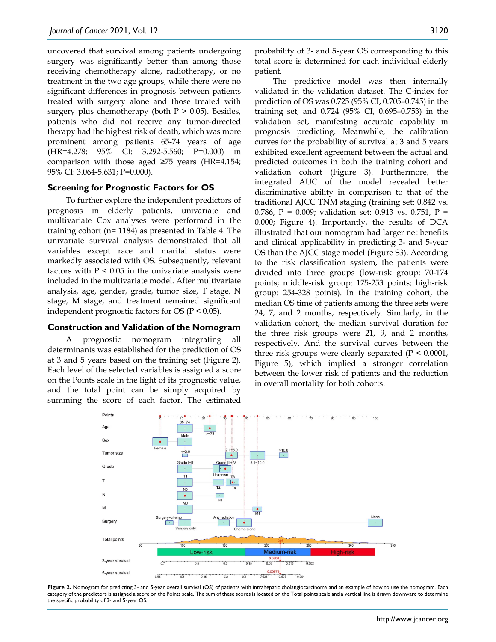uncovered that survival among patients undergoing surgery was significantly better than among those receiving chemotherapy alone, radiotherapy, or no treatment in the two age groups, while there were no significant differences in prognosis between patients treated with surgery alone and those treated with surgery plus chemotherapy (both  $P > 0.05$ ). Besides, patients who did not receive any tumor-directed therapy had the highest risk of death, which was more prominent among patients 65-74 years of age (HR=4.278; 95% CI: 3.292-5.560; P=0.000) in comparison with those aged ≥75 years (HR=4.154; 95% CI: 3.064-5.631; P=0.000).

#### **Screening for Prognostic Factors for OS**

To further explore the independent predictors of prognosis in elderly patients, univariate and multivariate Cox analyses were performed in the training cohort (n= 1184) as presented in Table 4. The univariate survival analysis demonstrated that all variables except race and marital status were markedly associated with OS. Subsequently, relevant factors with  $P < 0.05$  in the univariate analysis were included in the multivariate model. After multivariate analysis, age, gender, grade, tumor size, T stage, N stage, M stage, and treatment remained significant independent prognostic factors for OS (P < 0.05).

#### **Construction and Validation of the Nomogram**

A prognostic nomogram integrating all determinants was established for the prediction of OS at 3 and 5 years based on the training set (Figure 2). Each level of the selected variables is assigned a score on the Points scale in the light of its prognostic value, and the total point can be simply acquired by summing the score of each factor. The estimated probability of 3- and 5-year OS corresponding to this total score is determined for each individual elderly patient.

The predictive model was then internally validated in the validation dataset. The C-index for prediction of OS was 0.725 (95% CI, 0.705–0.745) in the training set, and 0.724 (95% CI, 0.695–0.753) in the validation set, manifesting accurate capability in prognosis predicting. Meanwhile, the calibration curves for the probability of survival at 3 and 5 years exhibited excellent agreement between the actual and predicted outcomes in both the training cohort and validation cohort (Figure 3). Furthermore, the integrated AUC of the model revealed better discriminative ability in comparison to that of the traditional AJCC TNM staging (training set: 0.842 vs. 0.786, P = 0.009; validation set: 0.913 vs. 0.751, P = 0.000; Figure 4). Importantly, the results of DCA illustrated that our nomogram had larger net benefits and clinical applicability in predicting 3- and 5-year OS than the AJCC stage model (Figure S3). According to the risk classification system, the patients were divided into three groups (low-risk group: 70-174 points; middle-risk group: 175-253 points; high-risk group: 254-328 points). In the training cohort, the median OS time of patients among the three sets were 24, 7, and 2 months, respectively. Similarly, in the validation cohort, the median survival duration for the three risk groups were 21, 9, and 2 months, respectively. And the survival curves between the three risk groups were clearly separated (P < 0.0001, Figure 5), which implied a stronger correlation between the lower risk of patients and the reduction in overall mortality for both cohorts.



Figure 2. Nomogram for predicting 3- and 5-year overall survival (OS) of patients with intrahepatic cholangiocarcinoma and an example of how to use the nomogram. Each category of the predictors is assigned a score on the Points scale. The sum of these scores is located on the Total points scale and a vertical line is drawn downward to determine the specific probability of 3- and 5-year OS.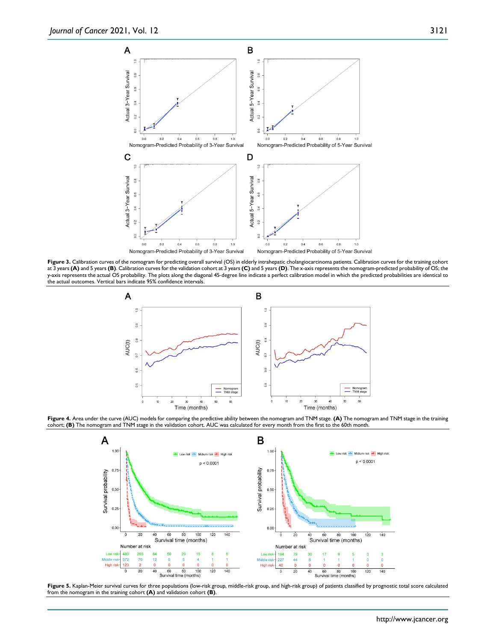

Figure 3. Calibration curves of the nomogram for predicting overall survival (OS) in elderly intrahepatic cholangiocarcinoma patients. Calibration curves for the training cohort at 3 years **(A)** and 5 years **(B)**. Calibration curves for the validation cohort at 3 years **(C)** and 5 years **(D)**. The x-axis represents the nomogram-predicted probability of OS; the y-axis represents the actual OS probability. The plots along the diagonal 45‐degree line indicate a perfect calibration model in which the predicted probabilities are identical to the actual outcomes. Vertical bars indicate 95% confidence intervals.



**Figure 4.** Area under the curve (AUC) models for comparing the predictive ability between the nomogram and TNM stage. **(A)** The nomogram and TNM stage in the training cohort; **(B)** The nomogram and TNM stage in the validation cohort. AUC was calculated for every month from the first to the 60th month.



Figure 5. Kaplan-Meier survival curves for three populations (low-risk group, middle-risk group, and high-risk group) of patients classified by prognostic total score calculated from the nomogram in the training cohort **(A)** and validation cohort **(B)**.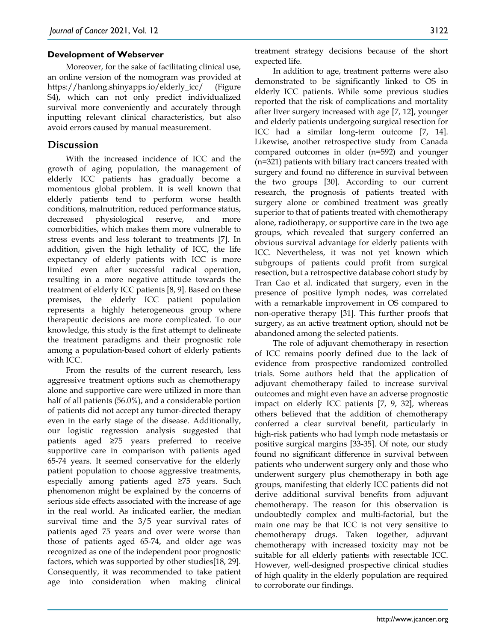#### **Development of Webserver**

Moreover, for the sake of facilitating clinical use, an online version of the nomogram was provided at https://hanlong.shinyapps.io/elderly\_icc/ (Figure S4), which can not only predict individualized survival more conveniently and accurately through inputting relevant clinical characteristics, but also avoid errors caused by manual measurement.

# **Discussion**

With the increased incidence of ICC and the growth of aging population, the management of elderly ICC patients has gradually become a momentous global problem. It is well known that elderly patients tend to perform worse health conditions, malnutrition, reduced performance status, decreased physiological reserve, and more comorbidities, which makes them more vulnerable to stress events and less tolerant to treatments [7]. In addition, given the high lethality of ICC, the life expectancy of elderly patients with ICC is more limited even after successful radical operation, resulting in a more negative attitude towards the treatment of elderly ICC patients [8, 9]. Based on these premises, the elderly ICC patient population represents a highly heterogeneous group where therapeutic decisions are more complicated. To our knowledge, this study is the first attempt to delineate the treatment paradigms and their prognostic role among a population-based cohort of elderly patients with ICC.

From the results of the current research, less aggressive treatment options such as chemotherapy alone and supportive care were utilized in more than half of all patients (56.0%), and a considerable portion of patients did not accept any tumor-directed therapy even in the early stage of the disease. Additionally, our logistic regression analysis suggested that patients aged ≥75 years preferred to receive supportive care in comparison with patients aged 65-74 years. It seemed conservative for the elderly patient population to choose aggressive treatments, especially among patients aged ≥75 years. Such phenomenon might be explained by the concerns of serious side effects associated with the increase of age in the real world. As indicated earlier, the median survival time and the 3/5 year survival rates of patients aged 75 years and over were worse than those of patients aged 65-74, and older age was recognized as one of the independent poor prognostic factors, which was supported by other studies[18, 29]. Consequently, it was recommended to take patient age into consideration when making clinical

treatment strategy decisions because of the short expected life.

In addition to age, treatment patterns were also demonstrated to be significantly linked to OS in elderly ICC patients. While some previous studies reported that the risk of complications and mortality after liver surgery increased with age [7, 12], younger and elderly patients undergoing surgical resection for ICC had a similar long-term outcome [7, 14]. Likewise, another retrospective study from Canada compared outcomes in older (n=592) and younger (n=321) patients with biliary tract cancers treated with surgery and found no difference in survival between the two groups [30]. According to our current research, the prognosis of patients treated with surgery alone or combined treatment was greatly superior to that of patients treated with chemotherapy alone, radiotherapy, or supportive care in the two age groups, which revealed that surgery conferred an obvious survival advantage for elderly patients with ICC. Nevertheless, it was not yet known which subgroups of patients could profit from surgical resection, but a retrospective database cohort study by Tran Cao et al. indicated that surgery, even in the presence of positive lymph nodes, was correlated with a remarkable improvement in OS compared to non-operative therapy [31]. This further proofs that surgery, as an active treatment option, should not be abandoned among the selected patients.

The role of adjuvant chemotherapy in resection of ICC remains poorly defined due to the lack of evidence from prospective randomized controlled trials. Some authors held that the application of adjuvant chemotherapy failed to increase survival outcomes and might even have an adverse prognostic impact on elderly ICC patients [7, 9, 32], whereas others believed that the addition of chemotherapy conferred a clear survival benefit, particularly in high-risk patients who had lymph node metastasis or positive surgical margins [33-35]. Of note, our study found no significant difference in survival between patients who underwent surgery only and those who underwent surgery plus chemotherapy in both age groups, manifesting that elderly ICC patients did not derive additional survival benefits from adjuvant chemotherapy. The reason for this observation is undoubtedly complex and multi-factorial, but the main one may be that ICC is not very sensitive to chemotherapy drugs. Taken together, adjuvant chemotherapy with increased toxicity may not be suitable for all elderly patients with resectable ICC. However, well-designed prospective clinical studies of high quality in the elderly population are required to corroborate our findings.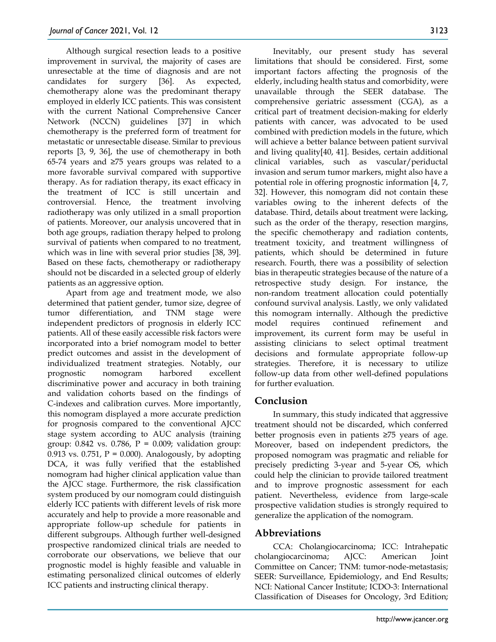Although surgical resection leads to a positive improvement in survival, the majority of cases are unresectable at the time of diagnosis and are not candidates for surgery [36]. As expected, chemotherapy alone was the predominant therapy employed in elderly ICC patients. This was consistent with the current National Comprehensive Cancer Network (NCCN) guidelines [37] in which chemotherapy is the preferred form of treatment for metastatic or unresectable disease. Similar to previous reports [3, 9, 36], the use of chemotherapy in both 65-74 years and ≥75 years groups was related to a more favorable survival compared with supportive therapy. As for radiation therapy, its exact efficacy in the treatment of ICC is still uncertain and controversial. Hence, the treatment involving radiotherapy was only utilized in a small proportion of patients. Moreover, our analysis uncovered that in both age groups, radiation therapy helped to prolong survival of patients when compared to no treatment, which was in line with several prior studies [38, 39]. Based on these facts, chemotherapy or radiotherapy should not be discarded in a selected group of elderly patients as an aggressive option.

Apart from age and treatment mode, we also determined that patient gender, tumor size, degree of tumor differentiation, and TNM stage were independent predictors of prognosis in elderly ICC patients. All of these easily accessible risk factors were incorporated into a brief nomogram model to better predict outcomes and assist in the development of individualized treatment strategies. Notably, our prognostic nomogram harbored excellent discriminative power and accuracy in both training and validation cohorts based on the findings of C-indexes and calibration curves. More importantly, this nomogram displayed a more accurate prediction for prognosis compared to the conventional AJCC stage system according to AUC analysis (training group:  $0.842$  vs.  $0.786$ ,  $P = 0.009$ ; validation group: 0.913 vs. 0.751,  $P = 0.000$ ). Analogously, by adopting DCA, it was fully verified that the established nomogram had higher clinical application value than the AJCC stage. Furthermore, the risk classification system produced by our nomogram could distinguish elderly ICC patients with different levels of risk more accurately and help to provide a more reasonable and appropriate follow-up schedule for patients in different subgroups. Although further well-designed prospective randomized clinical trials are needed to corroborate our observations, we believe that our prognostic model is highly feasible and valuable in estimating personalized clinical outcomes of elderly ICC patients and instructing clinical therapy.

Inevitably, our present study has several limitations that should be considered. First, some important factors affecting the prognosis of the elderly, including health status and comorbidity, were unavailable through the SEER database. The comprehensive geriatric assessment (CGA), as a critical part of treatment decision-making for elderly patients with cancer, was advocated to be used combined with prediction models in the future, which will achieve a better balance between patient survival and living quality[40, 41]. Besides, certain additional clinical variables, such as vascular/periductal invasion and serum tumor markers, might also have a potential role in offering prognostic information [4, 7, 32]. However, this nomogram did not contain these variables owing to the inherent defects of the database. Third, details about treatment were lacking, such as the order of the therapy, resection margins, the specific chemotherapy and radiation contents, treatment toxicity, and treatment willingness of patients, which should be determined in future research. Fourth, there was a possibility of selection bias in therapeutic strategies because of the nature of a retrospective study design. For instance, the non-random treatment allocation could potentially confound survival analysis. Lastly, we only validated this nomogram internally. Although the predictive model requires continued refinement and improvement, its current form may be useful in assisting clinicians to select optimal treatment decisions and formulate appropriate follow-up strategies. Therefore, it is necessary to utilize follow-up data from other well-defined populations for further evaluation.

# **Conclusion**

In summary, this study indicated that aggressive treatment should not be discarded, which conferred better prognosis even in patients ≥75 years of age. Moreover, based on independent predictors, the proposed nomogram was pragmatic and reliable for precisely predicting 3-year and 5-year OS, which could help the clinician to provide tailored treatment and to improve prognostic assessment for each patient. Nevertheless, evidence from large-scale prospective validation studies is strongly required to generalize the application of the nomogram.

# **Abbreviations**

CCA: Cholangiocarcinoma; ICC: Intrahepatic cholangiocarcinoma; AJCC: American Joint Committee on Cancer; TNM: tumor-node-metastasis; SEER: Surveillance, Epidemiology, and End Results; NCI: National Cancer Institute; ICDO-3: International Classification of Diseases for Oncology, 3rd Edition;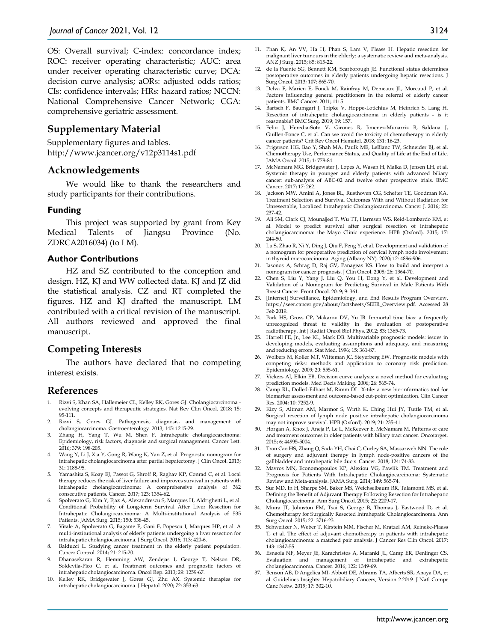OS: Overall survival; C-index: concordance index; ROC: receiver operating characteristic; AUC: area under receiver operating characteristic curve; DCA: decision curve analysis; aORs: adjusted odds ratios; CIs: confidence intervals; HRs: hazard ratios; NCCN: National Comprehensive Cancer Network; CGA: comprehensive geriatric assessment.

# **Supplementary Material**

Supplementary figures and tables. http://www.jcancer.org/v12p3114s1.pdf

#### **Acknowledgements**

We would like to thank the researchers and study participants for their contributions.

#### **Funding**

This project was supported by grant from Key Medical Talents of Jiangsu Province (No. ZDRCA2016034) (to LM).

#### **Author Contributions**

HZ and SZ contributed to the conception and design. HZ, KJ and WW collected data. KJ and JZ did the statistical analysis. CZ and RT completed the figures. HZ and KJ drafted the manuscript. LM contributed with a critical revision of the manuscript. All authors reviewed and approved the final manuscript.

### **Competing Interests**

The authors have declared that no competing interest exists.

#### **References**

- Rizvi S, Khan SA, Hallemeier CL, Kelley RK, Gores GJ. Cholangiocarcinoma evolving concepts and therapeutic strategies. Nat Rev Clin Oncol. 2018; 15: 95-111.
- 2. Rizvi S, Gores GJ. Pathogenesis, diagnosis, and management of cholangiocarcinoma. Gastroenterology. 2013; 145: 1215-29.
- 3. Zhang H, Yang T, Wu M, Shen F. Intrahepatic cholangiocarcinoma: Epidemiology, risk factors, diagnosis and surgical management. Cancer Lett. 2016; 379: 198-205.
- 4. Wang Y, Li J, Xia Y, Gong R, Wang K, Yan Z, et al. Prognostic nomogram for intrahepatic cholangiocarcinoma after partial hepatectomy. J Clin Oncol. 2013; 31: 1188-95.
- 5. Yamashita S, Koay EJ, Passot G, Shroff R, Raghav KP, Conrad C, et al. Local therapy reduces the risk of liver failure and improves survival in patients with intrahepatic cholangiocarcinoma: A comprehensive analysis of 362 consecutive patients. Cancer. 2017; 123: 1354-62.
- 6. Spolverato G, Kim Y, Ejaz A, Alexandrescu S, Marques H, Aldrighetti L, et al. Conditional Probability of Long-term Survival After Liver Resection for Intrahepatic Cholangiocarcinoma: A Multi-institutional Analysis of 535 Patients. JAMA Surg. 2015; 150: 538-45.
- 7. Vitale A, Spolverato G, Bagante F, Gani F, Popescu I, Marques HP, et al. A multi-institutional analysis of elderly patients undergoing a liver resection for intrahepatic cholangiocarcinoma. J Surg Oncol. 2016; 113: 420-6.
- 8. Balducci L. Studying cancer treatment in the elderly patient population. Cancer Control. 2014; 21: 215-20.
- 9. Dhanasekaran R, Hemming AW, Zendejas I, George T, Nelson DR, Soldevila-Pico C, et al. Treatment outcomes and prognostic factors of intrahepatic cholangiocarcinoma. Oncol Rep. 2013; 29: 1259-67.
- 10. Kelley RK, Bridgewater J, Gores GJ, Zhu AX. Systemic therapies for intrahepatic cholangiocarcinoma. J Hepatol. 2020; 72: 353-63.
- 11. Phan K, An VV, Ha H, Phan S, Lam V, Pleass H. Hepatic resection for malignant liver tumours in the elderly: a systematic review and meta-analysis. ANZ J Surg. 2015; 85: 815-22.
- 12. de la Fuente SG, Bennett KM, Scarborough JE. Functional status determines postoperative outcomes in elderly patients undergoing hepatic resections. J Surg Oncol. 2013; 107: 865-70.
- 13. Delva F, Marien E, Fonck M, Rainfray M, Demeaux JL, Moreaud P, et al. Factors influencing general practitioners in the referral of elderly cancer patients. BMC Cancer. 2011; 11: 5.
- 14. Bartsch F, Baumgart J, Tripke V, Hoppe-Lotichius M, Heinrich S, Lang H. Resection of intrahepatic cholangiocarcinoma in elderly patients - is it reasonable? BMC Surg. 2019; 19: 157.
- 15. Feliu J, Heredia-Soto V, Girones R, Jimenez-Munarriz B, Saldana J, Guillen-Ponce C, et al. Can we avoid the toxicity of chemotherapy in elderly cancer patients? Crit Rev Oncol Hematol. 2018; 131: 16-23.
- 16. Prigerson HG, Bao Y, Shah MA, Paulk ME, LeBlanc TW, Schneider BJ, et al. Chemotherapy Use, Performance Status, and Quality of Life at the End of Life. JAMA Oncol. 2015; 1: 778-84.
- 17. McNamara MG, Bridgewater J, Lopes A, Wasan H, Malka D, Jensen LH, et al. Systemic therapy in younger and elderly patients with advanced biliary cancer: sub-analysis of ABC-02 and twelve other prospective trials. BMC Cancer. 2017; 17: 262.
- 18. Jackson MW, Amini A, Jones BL, Rusthoven CG, Schefter TE, Goodman KA. Treatment Selection and Survival Outcomes With and Without Radiation for Unresectable, Localized Intrahepatic Cholangiocarcinoma. Cancer J. 2016; 22: 237-42.
- 19. Ali SM, Clark CJ, Mounajjed T, Wu TT, Harmsen WS, Reid-Lombardo KM, et al. Model to predict survival after surgical resection of intrahepatic cholangiocarcinoma: the Mayo Clinic experience. HPB (Oxford). 2015; 17: 244-50.
- 20. Lu S, Zhao R, Ni Y, Ding J, Qiu F, Peng Y, et al. Development and validation of a nomogram for preoperative prediction of cervical lymph node involvement in thyroid microcarcinoma. Aging (Albany NY). 2020; 12: 4896-906.
- 21. Iasonos A, Schrag D, Raj GV, Panageas KS. How to build and interpret a nomogram for cancer prognosis. J Clin Oncol. 2008; 26: 1364-70.
- 22. Chen S, Liu Y, Yang J, Liu Q, You H, Dong Y, et al. Development and Validation of a Nomogram for Predicting Survival in Male Patients With Breast Cancer. Front Oncol. 2019; 9: 361.
- 23. [Internet] Surveillance, Epidemiology, and End Results Program Overview. https://seer.cancer.gov/about/factsheets/SEER\_Overview.pdf. Accessed 28 Feb 2019.
- 24. Park HS, Gross CP, Makarov DV, Yu JB. Immortal time bias: a frequently unrecognized threat to validity in the evaluation of postoperative radiotherapy. Int J Radiat Oncol Biol Phys. 2012; 83: 1365-73.
- 25. Harrell FE, Jr., Lee KL, Mark DB. Multivariable prognostic models: issues in developing models, evaluating assumptions and adequacy, and measuring and reducing errors. Stat Med. 1996; 15: 361-87.
- 26. Wolbers M, Koller MT, Witteman JC, Steyerberg EW. Prognostic models with competing risks: methods and application to coronary risk prediction. Epidemiology. 2009; 20: 555-61.
- 27. Vickers AJ, Elkin EB. Decision curve analysis: a novel method for evaluating prediction models. Med Decis Making. 2006; 26: 565-74.
- 28. Camp RL, Dolled-Filhart M, Rimm DL. X-tile: a new bio-informatics tool for biomarker assessment and outcome-based cut-point optimization. Clin Cancer Res. 2004; 10: 7252-9.
- 29. Kizy S, Altman AM, Marmor S, Wirth K, Ching Hui JY, Tuttle TM, et al. Surgical resection of lymph node positive intrahepatic cholangiocarcinoma may not improve survival. HPB (Oxford). 2019; 21: 235-41.
- 30. Horgan A, Knox J, Aneja P, Le L, McKeever E, McNamara M. Patterns of care and treatment outcomes in older patients with biliary tract cancer. Oncotarget. 2015; 6: 44995-5004.
- 31. Tran Cao HS, Zhang Q, Sada YH, Chai C, Curley SA, Massarweh NN. The role of surgery and adjuvant therapy in lymph node-positive cancers of the gallbladder and intrahepatic bile ducts. Cancer. 2018; 124: 74-83.
- Mavros MN, Economopoulos KP, Alexiou VG, Pawlik TM. Treatment and Prognosis for Patients With Intrahepatic Cholangiocarcinoma: Systematic Review and Meta-analysis. JAMA Surg. 2014; 149: 565-74.
- Sur MD, In H, Sharpe SM, Baker MS, Weichselbaum RR, Talamonti MS, et al. Defining the Benefit of Adjuvant Therapy Following Resection for Intrahepatic Cholangiocarcinoma. Ann Surg Oncol. 2015; 22: 2209-17.
- 34. Miura JT, Johnston FM, Tsai S, George B, Thomas J, Eastwood D, et al. Chemotherapy for Surgically Resected Intrahepatic Cholangiocarcinoma. Ann Surg Oncol. 2015; 22: 3716-23.
- 35. Schweitzer N, Weber T, Kirstein MM, Fischer M, Kratzel AM, Reineke-Plaass T, et al. The effect of adjuvant chemotherapy in patients with intrahepatic cholangiocarcinoma: a matched pair analysis. J Cancer Res Clin Oncol. 2017; 143: 1347-55.
- 36. Esnaola NF, Meyer JE, Karachristos A, Maranki JL, Camp ER, Denlinger CS. Evaluation and management of intrahepatic and extrahepatic cholangiocarcinoma. Cancer. 2016; 122: 1349-69.
- 37. Benson AB, D'Angelica MI, Abbott DE, Abrams TA, Alberts SR, Anaya DA, et al. Guidelines Insights: Hepatobiliary Cancers, Version 2.2019. J Natl Compr Canc Netw. 2019; 17: 302-10.